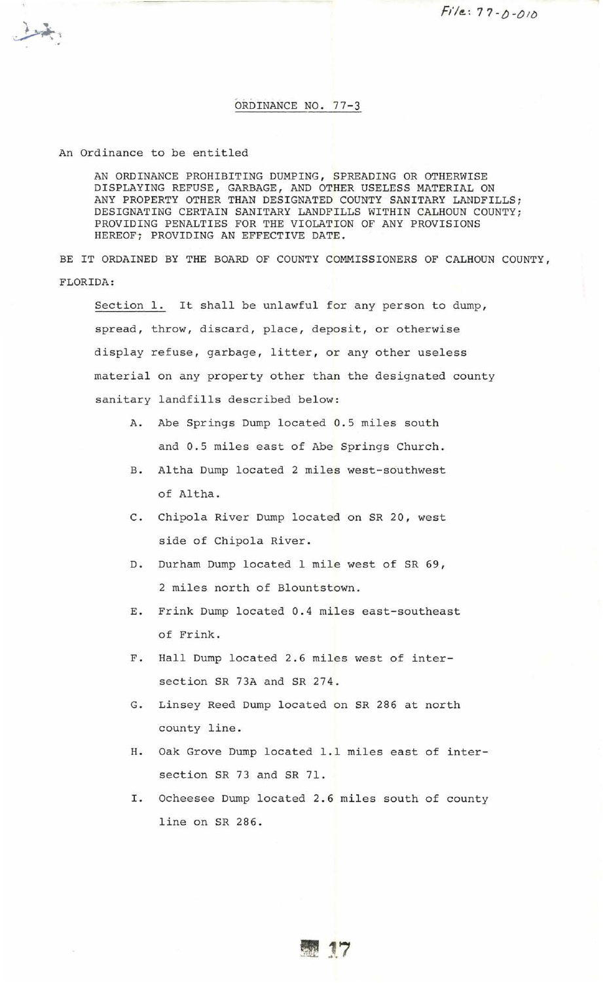## ORDINANCE NO. 77-3

An Ordinance to be entitled

AN ORDINANCE PROHIBITING DUMPING, SPREADING OR OTHERWISE DISPLAYING REFUSE, GARBAGE, AND OTHER USELESS MATERIAL ON ANY PROPERTY OTHER THAN DESIGNATED COUNTY SANITARY LANDFILLS; DESIGNATING CERTAIN SANITARY LANDFILLS WITHIN CALHOUN COUNTY; PROVIDING PENALTIES FOR THE VIOLATION OF ANY PROVISIONS HEREOF; PROVIDING AN EFFECTIVE DATE.

BE IT ORDAINED BY THE BOARD OF COUNTY COMMISSIONERS OF CALHOUN COUNTY, FLORIDA:

Section l. It shall be unlawful for any person to dump, spread, throw, discard, place, deposit, or otherwise display refuse, garbage, litter, or any other useless material on any property other than the designated county sanitary landfills described below:

- A. Abe Springs Dump located 0.5 miles south and 0.5 miles east of Abe Springs Church.
- B. Altha Dump located 2 miles west-southwest of Altha.
- C. Chipola River Dump located on SR 20, west side of Chipola River.
- D. Durham Dump located l mile west of SR 69, 2 miles north of Blountstown.
- E. Frink Dump located 0.4 miles east-southeast of Frink.
- F. Hall Dump located 2.6 miles west of intersection SR 73A and SR 274.
- G. Linsey Reed Dump located on SR 286 at north county line.
- H. Oak Grove Dump located l.l miles east of intersection SR 73 and SR 71.
- I. Ocheesee Dump located 2.6 miles south of county line on SR 286.